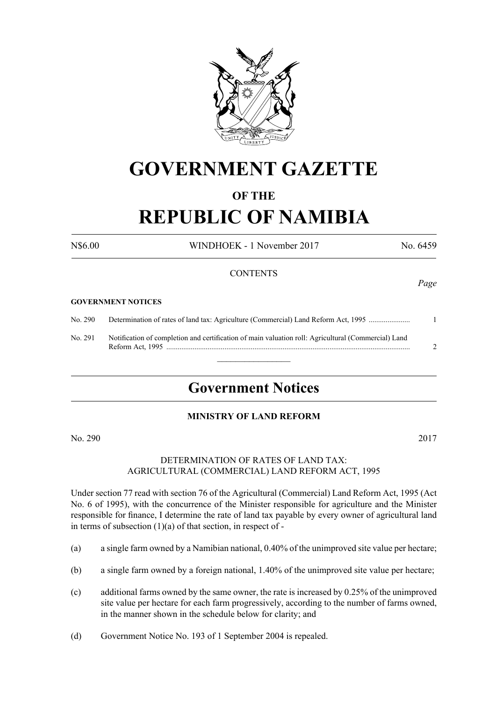

## **GOVERNMENT GAZETTE**

#### **OF THE**

# **REPUBLIC OF NAMIBIA**

N\$6.00 WINDHOEK - 1 November 2017 No. 6459

#### **CONTENTS**

#### **GOVERNMENT NOTICES**

No. 290 Determination of rates of land tax: Agriculture (Commercial) Land Reform Act, 1995 ...................... 1

No. 291 Notification of completion and certification of main valuation roll: Agricultural (Commercial) Land Reform Act, 1995 .................................................................................................................................. 2

### **Government Notices**

 $\overline{\phantom{a}}$  , where  $\overline{\phantom{a}}$ 

#### **MINISTRY OF LAND REFORM**

No. 290 2017

#### DETERMINATION OF RATES OF LAND TAX: AGRICULTURAL (COMMERCIAL) LAND REFORM ACT, 1995

Under section 77 read with section 76 of the Agricultural (Commercial) Land Reform Act, 1995 (Act No. 6 of 1995), with the concurrence of the Minister responsible for agriculture and the Minister responsible for finance, I determine the rate of land tax payable by every owner of agricultural land in terms of subsection  $(1)(a)$  of that section, in respect of -

- (a) a single farm owned by a Namibian national, 0.40% of the unimproved site value per hectare;
- (b) a single farm owned by a foreign national, 1.40% of the unimproved site value per hectare;
- (c) additional farms owned by the same owner, the rate is increased by 0.25% of the unimproved site value per hectare for each farm progressively, according to the number of farms owned, in the manner shown in the schedule below for clarity; and
- (d) Government Notice No. 193 of 1 September 2004 is repealed.

*Page*